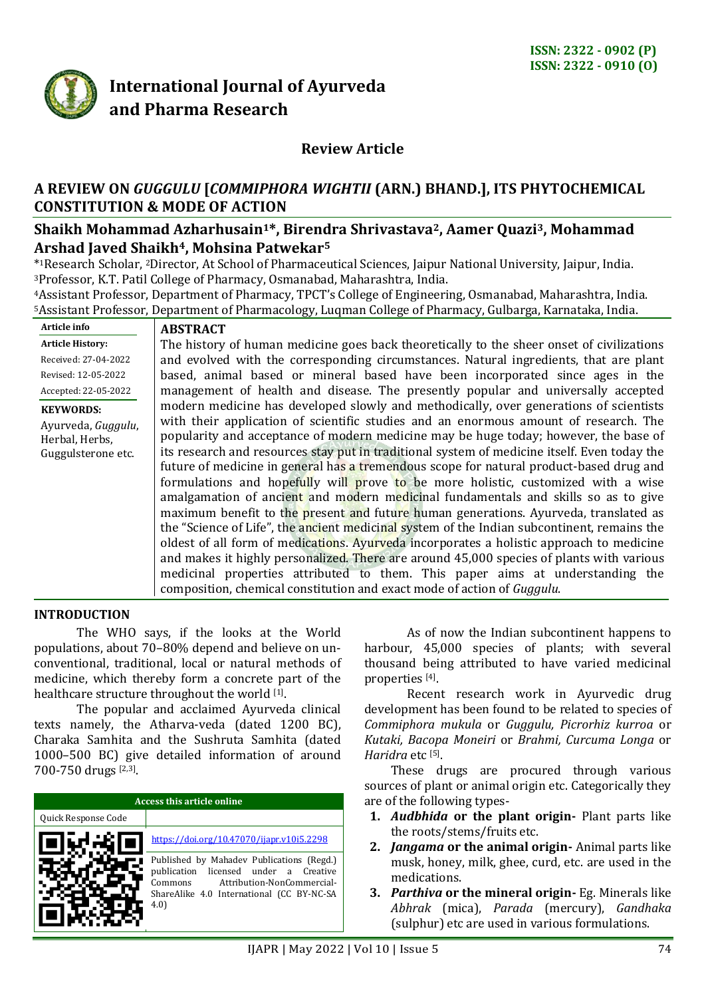

# **International Journal of Ayurveda and Pharma Research**

# **Review Article**

# **A REVIEW ON** *GUGGULU* **[***COMMIPHORA WIGHTII* **(ARN.) BHAND.], ITS PHYTOCHEMICAL CONSTITUTION & MODE OF ACTION**

## **Shaikh Mohammad Azharhusain1\*, Birendra Shrivastava2, Aamer Quazi3, Mohammad Arshad Javed Shaikh4, Mohsina Patwekar<sup>5</sup>**

\* <sup>1</sup>Research Scholar, <sup>2</sup>Director, At School of Pharmaceutical Sciences, Jaipur National University, Jaipur, India. <sup>3</sup>Professor, K.T. Patil College of Pharmacy, Osmanabad, Maharashtra, India.

<sup>4</sup>Assistant Professor, Department of Pharmacy, TPCT's College of Engineering, Osmanabad, Maharashtra, India. <sup>5</sup>Assistant Professor, Department of Pharmacology, Luqman College of Pharmacy, Gulbarga, Karnataka, India.

| Article info            | <b>ABSTRACT</b>                                                                              |  |
|-------------------------|----------------------------------------------------------------------------------------------|--|
| <b>Article History:</b> | The history of human medicine goes back theoretically to the sheer onset of civilizations    |  |
| Received: 27-04-2022    | and evolved with the corresponding circumstances. Natural ingredients, that are plant        |  |
| Revised: 12-05-2022     | based, animal based or mineral based have been incorporated since ages in the                |  |
| Accepted: 22-05-2022    | management of health and disease. The presently popular and universally accepted             |  |
| <b>KEYWORDS:</b>        | modern medicine has developed slowly and methodically, over generations of scientists        |  |
| Ayurveda, Guggulu,      | with their application of scientific studies and an enormous amount of research. The         |  |
| Herbal, Herbs,          | popularity and acceptance of modern medicine may be huge today; however, the base of         |  |
| Guggulsterone etc.      | its research and resources stay put in traditional system of medicine itself. Even today the |  |
|                         | future of medicine in general has a tremendous scope for natural product-based drug and      |  |
|                         | formulations and hopefully will prove to be more holistic, customized with a wise            |  |
|                         | amalgamation of ancient and modern medicinal fundamentals and skills so as to give           |  |
|                         | maximum benefit to the present and future human generations. Ayurveda, translated as         |  |
|                         | the "Science of Life", the ancient medicinal system of the Indian subcontinent, remains the  |  |
|                         | oldest of all form of medications. Ayurveda incorporates a holistic approach to medicine     |  |
|                         | and makes it highly personalized. There are around 45,000 species of plants with various     |  |
|                         | medicinal properties attributed to them. This paper aims at understanding the                |  |
|                         | composition, chemical constitution and exact mode of action of Guggulu.                      |  |

#### **INTRODUCTION**

The WHO says, if the looks at the World populations, about 70–80% depend and believe on unconventional, traditional, local or natural methods of medicine, which thereby form a concrete part of the healthcare structure throughout the world [1].

The popular and acclaimed Ayurveda clinical texts namely, the Atharva-veda (dated 1200 BC), Charaka Samhita and the Sushruta Samhita (dated 1000–500 BC) give detailed information of around 700-750 drugs [2,3] .

| Access this article online |                                                                                                                                                                                    |  |
|----------------------------|------------------------------------------------------------------------------------------------------------------------------------------------------------------------------------|--|
| Quick Response Code        |                                                                                                                                                                                    |  |
|                            | https://doi.org/10.47070/ijapr.v10i5.2298                                                                                                                                          |  |
|                            | Published by Mahadev Publications (Regd.)<br>licensed under a Creative<br>publication<br>Attribution-NonCommercial-<br>Commons<br>ShareAlike 4.0 International (CC BY-NC-SA<br>4.0 |  |

As of now the Indian subcontinent happens to harbour, 45,000 species of plants; with several thousand being attributed to have varied medicinal properties [4] .

Recent research work in Ayurvedic drug development has been found to be related to species of *Commiphora mukula* or *Guggulu, Picrorhiz kurroa* or *Kutaki, Bacopa Moneiri* or *Brahmi, Curcuma Longa* or Haridra etc<sup>[5]</sup>.

These drugs are procured through various sources of plant or animal origin etc. Categorically they are of the following types-

- **1.** *Audbhida* **or the plant origin-** Plant parts like the roots/stems/fruits etc.
- **2.** *Jangama* **or the animal origin-** Animal parts like musk, honey, milk, ghee, curd, etc. are used in the medications.
- **3.** *Parthiva* **or the mineral origin-** Eg. Minerals like *Abhrak* (mica), *Parada* (mercury), *Gandhaka* (sulphur) etc are used in various formulations.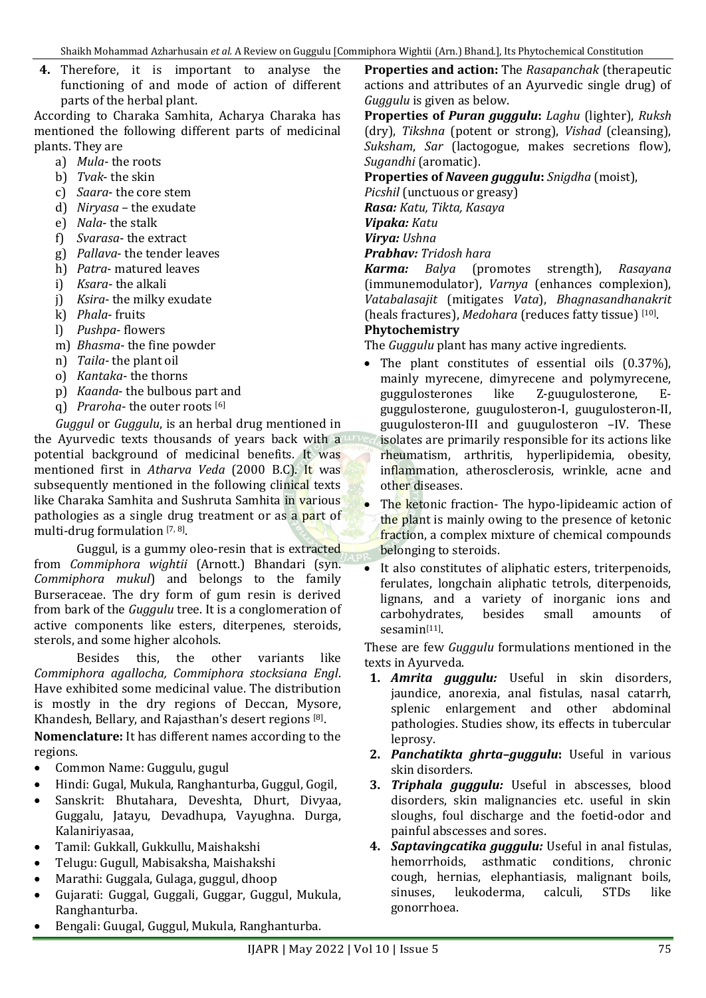**4.** Therefore, it is important to analyse the functioning of and mode of action of different parts of the herbal plant.

According to Charaka Samhita, Acharya Charaka has mentioned the following different parts of medicinal plants. They are

- a) *Mula* the roots
- b) *Tvak* the skin
- c) *Saara* the core stem
- d) *Niryasa* the exudate
- e) *Nala* the stalk
- f) *Svarasa* the extract
- g) *Pallava* the tender leaves
- h) *Patra* matured leaves
- i) *Ksara* the alkali
- j) *Ksira* the milky exudate
- k) *Phala* fruits
- l) *Pushpa* flowers
- m) *Bhasma* the fine powder
- n) *Taila* the plant oil
- o) *Kantaka* the thorns
- p) *Kaanda* the bulbous part and
- q) *Praroha* the outer roots [6]

*Guggul* or *Guggulu*, is an herbal drug mentioned in the Ayurvedic texts thousands of years back with a potential background of medicinal benefits. It was mentioned first in *Atharva Veda* (2000 B.C). It was subsequently mentioned in the following clinical texts like Charaka Samhita and Sushruta Samhita in various pathologies as a single drug treatment or as a part of multi-drug formulation [7, 8].

Guggul, is a gummy oleo-resin that is extracted from *Commiphora wightii* (Arnott.) Bhandari (syn. *Commiphora mukul*) and belongs to the family Burseraceae. The dry form of gum resin is derived from bark of the *Guggulu* tree. It is a conglomeration of active components like esters, diterpenes, steroids, sterols, and some higher alcohols.

Besides this, the other variants like *Commiphora agallocha, Commiphora stocksiana Engl*. Have exhibited some medicinal value. The distribution is mostly in the dry regions of Deccan, Mysore, Khandesh, Bellary, and Rajasthan's desert regions [8] .

**Nomenclature:** It has different names according to the regions.

- Common Name: Guggulu, gugul
- Hindi: Gugal, Mukula, Ranghanturba, Guggul, Gogil,
- Sanskrit: Bhutahara, Deveshta, Dhurt, Divyaa, Guggalu, Jatayu, Devadhupa, Vayughna. Durga, Kalaniriyasaa,
- Tamil: Gukkall, Gukkullu, Maishakshi
- Telugu: Gugull, Mabisaksha, Maishakshi
- Marathi: Guggala, Gulaga, guggul, dhoop
- Gujarati: Guggal, Guggali, Guggar, Guggul, Mukula, Ranghanturba.
- Bengali: Guugal, Guggul, Mukula, Ranghanturba.

**Properties and action:** The *Rasapanchak* (therapeutic actions and attributes of an Ayurvedic single drug) of *Guggulu* is given as below.

**Properties of** *Puran guggulu***:** *Laghu* (lighter), *Ruksh* (dry), *Tikshna* (potent or strong), *Vishad* (cleansing), *Suksham*, *Sar* (lactogogue, makes secretions flow), *Sugandhi* (aromatic).

**Properties of** *Naveen guggulu***:** *Snigdha* (moist),

*Picshil* (unctuous or greasy)

*Rasa: Katu, Tikta, Kasaya*

*Vipaka: Katu*

*Virya: Ushna*

*Prabhav: Tridosh hara*

*Karma: Balya* (promotes strength), *Rasayana* (immunemodulator), *Varnya* (enhances complexion), *Vatabalasajit* (mitigates *Vata*), *Bhagnasandhanakrit* (heals fractures), *Medohara* (reduces fatty tissue) [10] .

#### **Phytochemistry**

The *Guggulu* plant has many active ingredients.

- The plant constitutes of essential oils (0.37%), mainly myrecene, dimyrecene and polymyrecene, guggulosterones like Z-guugulosterone, Eguggulosterone, guugulosteron-I, guugulosteron-II, guugulosteron-III and guugulosteron –IV. These isolates are primarily responsible for its actions like rheumatism, arthritis, hyperlipidemia, obesity, inflammation, atherosclerosis, wrinkle, acne and other diseases.
- The ketonic fraction- The hypo-lipideamic action of the plant is mainly owing to the presence of ketonic fraction, a complex mixture of chemical compounds belonging to steroids.
- It also constitutes of aliphatic esters, triterpenoids, ferulates, longchain aliphatic tetrols, diterpenoids, lignans, and a variety of inorganic ions and carbohydrates, besides small amounts of sesamin<sup>[11]</sup>.

These are few *Guggulu* formulations mentioned in the texts in Ayurveda.

- **1.** *Amrita guggulu:* Useful in skin disorders, jaundice, anorexia, anal fistulas, nasal catarrh, splenic enlargement and other abdominal pathologies. Studies show, its effects in tubercular leprosy.
- **2.** *Panchatikta ghrta–guggulu***:** Useful in various skin disorders.
- **3.** *Triphala guggulu:* Useful in abscesses, blood disorders, skin malignancies etc. useful in skin sloughs, foul discharge and the foetid-odor and painful abscesses and sores.
- **4.** *Saptavingcatika guggulu:* Useful in anal fistulas, hemorrhoids, asthmatic conditions, chronic cough, hernias, elephantiasis, malignant boils, sinuses, leukoderma, calculi, STDs like gonorrhoea.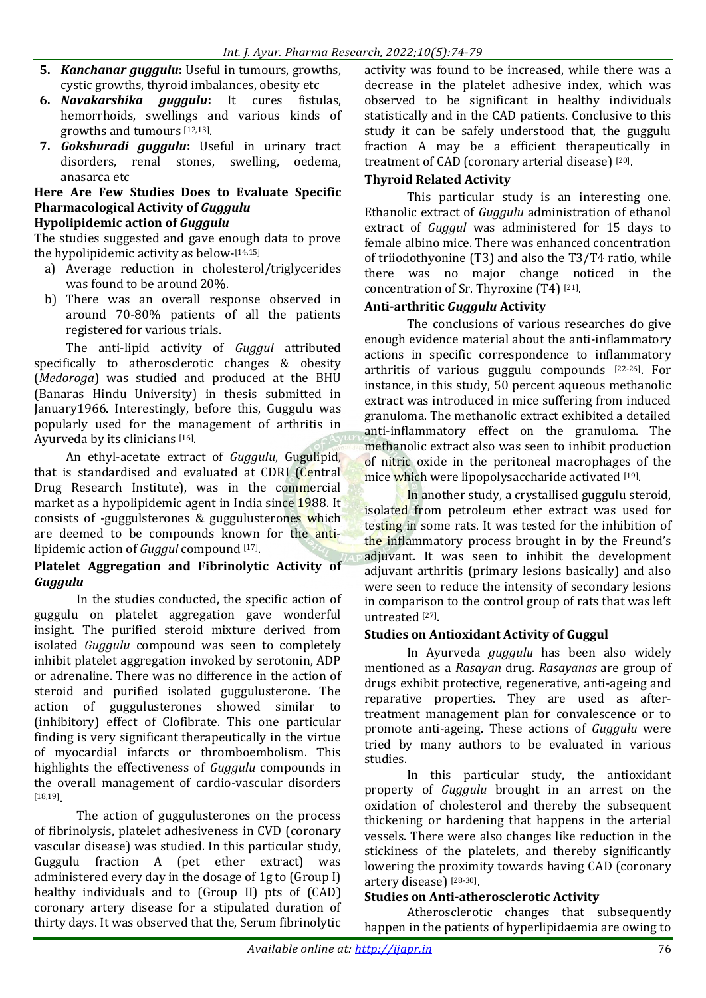- **5.** *Kanchanar guggulu***:** Useful in tumours, growths, cystic growths, thyroid imbalances, obesity etc
- **6.** *Navakarshika guggulu***:** It cures fistulas, hemorrhoids, swellings and various kinds of growths and tumours [12,13] .
- **7.** *Gokshuradi guggulu***:** Useful in urinary tract disorders, renal stones, swelling, oedema, anasarca etc

# **Here Are Few Studies Does to Evaluate Specific Pharmacological Activity of** *Guggulu*

#### **Hypolipidemic action of** *Guggulu*

The studies suggested and gave enough data to prove the hypolipidemic activity as below- [14,15]

- a) Average reduction in cholesterol/triglycerides was found to be around 20%.
- b) There was an overall response observed in around 70-80% patients of all the patients registered for various trials.

The anti-lipid activity of *Guggul* attributed specifically to atherosclerotic changes & obesity (*Medoroga*) was studied and produced at the BHU (Banaras Hindu University) in thesis submitted in January1966. Interestingly, before this, Guggulu was popularly used for the management of arthritis in Ayurveda by its clinicians <a>[16]</a>.

An ethyl-acetate extract of *Guggulu*, Gugulipid, that is standardised and evaluated at CDRI (Central Drug Research Institute), was in the commercial market as a hypolipidemic agent in India since 1988. It consists of -guggulsterones & guggulusterones which are deemed to be compounds known for the antilipidemic action of *Guggul* compound [17].

## **Platelet Aggregation and Fibrinolytic Activity of**  *Guggulu*

In the studies conducted, the specific action of guggulu on platelet aggregation gave wonderful insight. The purified steroid mixture derived from isolated *Guggulu* compound was seen to completely inhibit platelet aggregation invoked by serotonin, ADP or adrenaline. There was no difference in the action of steroid and purified isolated guggulusterone. The action of guggulusterones showed similar to (inhibitory) effect of Clofibrate. This one particular finding is very significant therapeutically in the virtue of myocardial infarcts or thromboembolism. This highlights the effectiveness of *Guggulu* compounds in the overall management of cardio-vascular disorders [18,19] .

The action of guggulusterones on the process of fibrinolysis, platelet adhesiveness in CVD (coronary vascular disease) was studied. In this particular study, Guggulu fraction A (pet ether extract) was administered every day in the dosage of 1g to (Group I) healthy individuals and to (Group II) pts of (CAD) coronary artery disease for a stipulated duration of thirty days. It was observed that the, Serum fibrinolytic

activity was found to be increased, while there was a decrease in the platelet adhesive index, which was observed to be significant in healthy individuals statistically and in the CAD patients. Conclusive to this study it can be safely understood that, the guggulu fraction A may be a efficient therapeutically in treatment of CAD (coronary arterial disease)<sup>[20]</sup>.

## **Thyroid Related Activity**

This particular study is an interesting one. Ethanolic extract of *Guggulu* administration of ethanol extract of *Guggul* was administered for 15 days to female albino mice. There was enhanced concentration of triiodothyonine (T3) and also the T3/T4 ratio, while there was no major change noticed in the concentration of Sr. Thyroxine (T4) [21] .

## **Anti-arthritic** *Guggulu* **Activity**

The conclusions of various researches do give enough evidence material about the anti-inflammatory actions in specific correspondence to inflammatory arthritis of various guggulu compounds [22-26]. For instance, in this study, 50 percent aqueous methanolic extract was introduced in mice suffering from induced granuloma. The methanolic extract exhibited a detailed anti-inflammatory effect on the granuloma. The methanolic extract also was seen to inhibit production of nitric oxide in the peritoneal macrophages of the mice which were lipopolysaccharide activated [19].

In another study, a crystallised guggulu steroid, isolated from petroleum ether extract was used for testing in some rats. It was tested for the inhibition of the inflammatory process brought in by the Freund's adjuvant. It was seen to inhibit the development adjuvant arthritis (primary lesions basically) and also were seen to reduce the intensity of secondary lesions in comparison to the control group of rats that was left untreated [27].

## **Studies on Antioxidant Activity of Guggul**

In Ayurveda *guggulu* has been also widely mentioned as a *Rasayan* drug. *Rasayanas* are group of drugs exhibit protective, regenerative, anti-ageing and reparative properties. They are used as aftertreatment management plan for convalescence or to promote anti-ageing. These actions of *Guggulu* were tried by many authors to be evaluated in various studies.

In this particular study, the antioxidant property of *Guggulu* brought in an arrest on the oxidation of cholesterol and thereby the subsequent thickening or hardening that happens in the arterial vessels. There were also changes like reduction in the stickiness of the platelets, and thereby significantly lowering the proximity towards having CAD (coronary artery disease) [28-30].

#### **Studies on Anti-atherosclerotic Activity**

Atherosclerotic changes that subsequently happen in the patients of hyperlipidaemia are owing to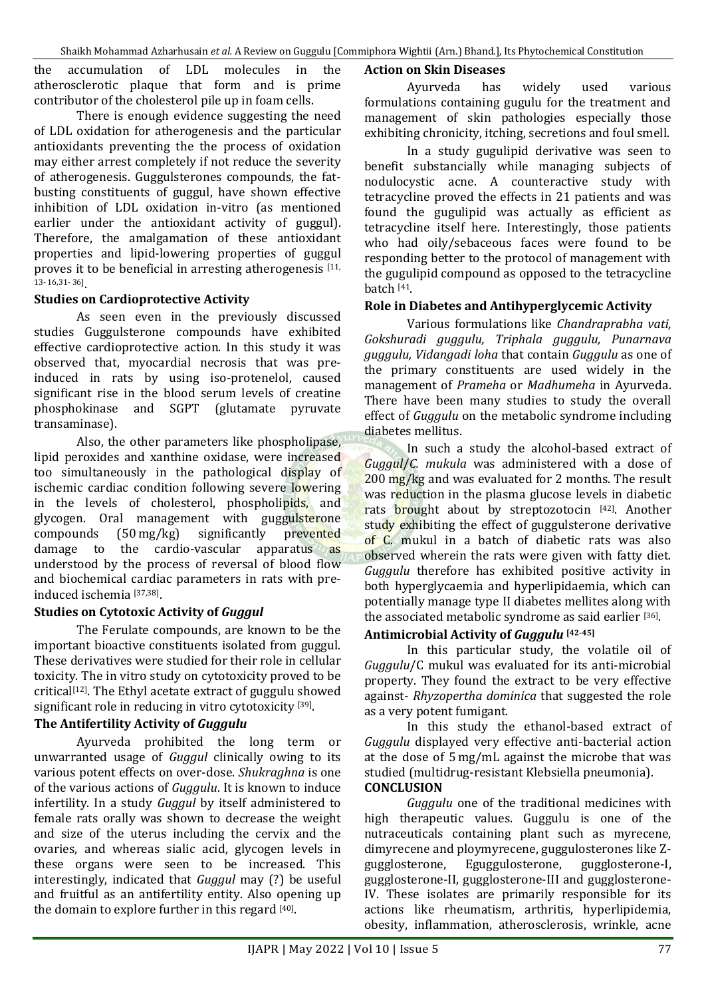the accumulation of LDL molecules in the atherosclerotic plaque that form and is prime contributor of the cholesterol pile up in foam cells.

There is enough evidence suggesting the need of LDL oxidation for atherogenesis and the particular antioxidants preventing the the process of oxidation may either arrest completely if not reduce the severity of atherogenesis. Guggulsterones compounds, the fatbusting constituents of guggul, have shown effective inhibition of LDL oxidation in-vitro (as mentioned earlier under the antioxidant activity of guggul). Therefore, the amalgamation of these antioxidant properties and lipid-lowering properties of guggul proves it to be beneficial in arresting atherogenesis [11, 13- 16,31- 36] .

## **Studies on Cardioprotective Activity**

As seen even in the previously discussed studies Guggulsterone compounds have exhibited effective cardioprotective action. In this study it was observed that, myocardial necrosis that was preinduced in rats by using iso-protenelol, caused significant rise in the blood serum levels of creatine phosphokinase and SGPT (glutamate pyruvate transaminase).

Also, the other parameters like phospholipase, lipid peroxides and xanthine oxidase, were increased too simultaneously in the pathological display of ischemic cardiac condition following severe lowering in the levels of cholesterol, phospholipids, and glycogen. Oral management with guggulsterone compounds (50 mg/kg) significantly prevented damage to the cardio-vascular apparatus as understood by the process of reversal of blood flow and biochemical cardiac parameters in rats with preinduced ischemia [37,38] .

# **Studies on Cytotoxic Activity of** *Guggul*

The Ferulate compounds, are known to be the important bioactive constituents isolated from guggul. These derivatives were studied for their role in cellular toxicity. The in vitro study on cytotoxicity proved to be critical[12]. The Ethyl acetate extract of guggulu showed significant role in reducing in vitro cytotoxicity [39].

# **The Antifertility Activity of** *Guggulu*

Ayurveda prohibited the long term or unwarranted usage of *Guggul* clinically owing to its various potent effects on over-dose. *Shukraghna* is one of the various actions of *Guggulu*. It is known to induce infertility. In a study *Guggul* by itself administered to female rats orally was shown to decrease the weight and size of the uterus including the cervix and the ovaries, and whereas sialic acid, glycogen levels in these organs were seen to be increased. This interestingly, indicated that *Guggul* may (?) be useful and fruitful as an antifertility entity. Also opening up the domain to explore further in this regard [40].

#### **Action on Skin Diseases**

Ayurveda has widely used various formulations containing gugulu for the treatment and management of skin pathologies especially those exhibiting chronicity, itching, secretions and foul smell.

In a study gugulipid derivative was seen to benefit substancially while managing subjects of nodulocystic acne. A counteractive study with tetracycline proved the effects in 21 patients and was found the gugulipid was actually as efficient as tetracycline itself here. Interestingly, those patients who had oily/sebaceous faces were found to be responding better to the protocol of management with the gugulipid compound as opposed to the tetracycline batch [41.

## **Role in Diabetes and Antihyperglycemic Activity**

Various formulations like *Chandraprabha vati, Gokshuradi guggulu, Triphala guggulu, Punarnava guggulu, Vidangadi loha* that contain *Guggulu* as one of the primary constituents are used widely in the management of *Prameha* or *Madhumeha* in Ayurveda. There have been many studies to study the overall effect of *Guggulu* on the metabolic syndrome including diabetes mellitus.

In such a study the alcohol-based extract of *Guggul*/*C. mukula* was administered with a dose of 200 mg/kg and was evaluated for 2 months. The result was reduction in the plasma glucose levels in diabetic rats brought about by streptozotocin [42]. Another study exhibiting the effect of guggulsterone derivative of C. mukul in a batch of diabetic rats was also observed wherein the rats were given with fatty diet. *Guggulu* therefore has exhibited positive activity in both hyperglycaemia and hyperlipidaemia, which can potentially manage type II diabetes mellites along with the associated metabolic syndrome as said earlier [36].

## **Antimicrobial Activity of** *Guggulu* **[42-45]**

In this particular study, the volatile oil of *Guggulu*/C mukul was evaluated for its anti-microbial property. They found the extract to be very effective against- *Rhyzopertha dominica* that suggested the role as a very potent fumigant.

In this study the ethanol-based extract of *Guggulu* displayed very effective anti-bacterial action at the dose of 5 mg/mL against the microbe that was studied (multidrug-resistant Klebsiella pneumonia). **CONCLUSION**

*Guggulu* one of the traditional medicines with high therapeutic values. Guggulu is one of the nutraceuticals containing plant such as myrecene, dimyrecene and ploymyrecene, guggulosterones like Zgugglosterone, Eguggulosterone, gugglosterone-I, gugglosterone-II, gugglosterone-III and gugglosterone-IV. These isolates are primarily responsible for its actions like rheumatism, arthritis, hyperlipidemia, obesity, inflammation, atherosclerosis, wrinkle, acne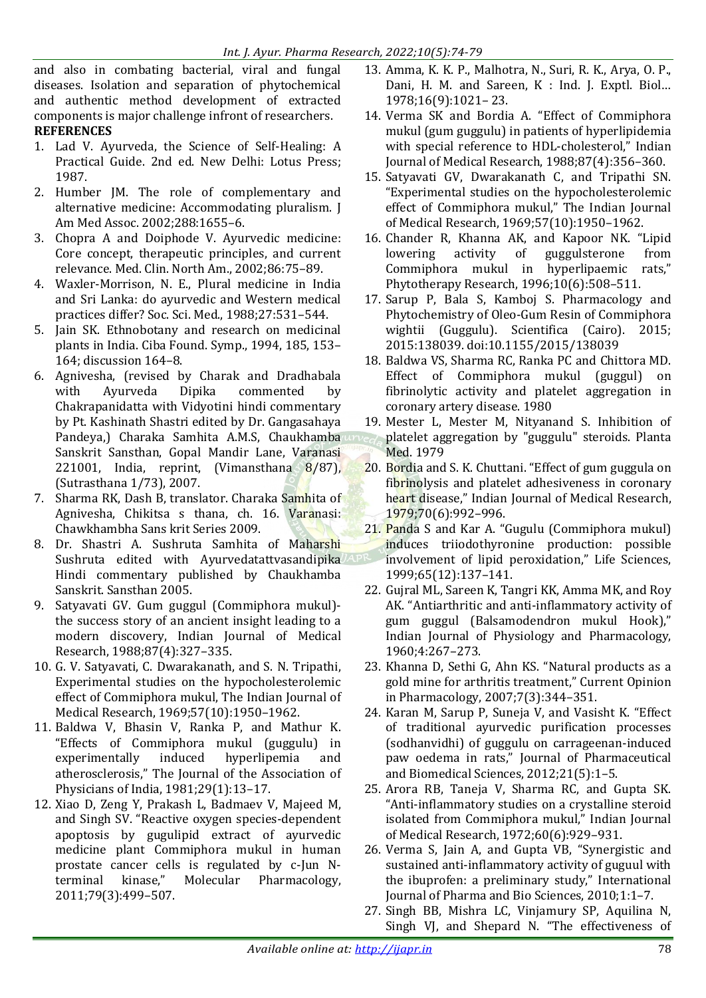and also in combating bacterial, viral and fungal diseases. Isolation and separation of phytochemical and authentic method development of extracted components is major challenge infront of researchers. **REFERENCES**

- 1. Lad V. Ayurveda, the Science of Self-Healing: A Practical Guide. 2nd ed. New Delhi: Lotus Press; 1987.
- 2. Humber JM. The role of complementary and alternative medicine: Accommodating pluralism. J Am Med Assoc. 2002;288:1655–6.
- 3. Chopra A and Doiphode V. Ayurvedic medicine: Core concept, therapeutic principles, and current relevance. Med. Clin. North Am., 2002;86:75–89.
- 4. Waxler-Morrison, N. E., Plural medicine in India and Sri Lanka: do ayurvedic and Western medical practices differ? Soc. Sci. Med., 1988;27:531–544.
- 5. Jain SK. Ethnobotany and research on medicinal plants in India. Ciba Found. Symp., 1994, 185, 153– 164; discussion 164–8.
- 6. Agnivesha, (revised by Charak and Dradhabala with Ayurveda Dipika commented by Chakrapanidatta with Vidyotini hindi commentary by Pt. Kashinath Shastri edited by Dr. Gangasahaya Pandeya,) Charaka Samhita A.M.S, Chaukhamba Sanskrit Sansthan, Gopal Mandir Lane, Varanasi 221001, India, reprint, (Vimansthana  $8/87$ ), (Sutrasthana 1/73), 2007.
- 7. Sharma RK, Dash B, translator. Charaka Samhita of Agnivesha, Chikitsa s thana, ch. 16. Varanasi: Chawkhambha Sans krit Series 2009.
- 8. Dr. Shastri A. Sushruta Samhita of Maharshi Sushruta edited with Ayurvedatattvasandipika Hindi commentary published by Chaukhamba Sanskrit. Sansthan 2005.
- 9. Satyavati GV. Gum guggul (Commiphora mukul) the success story of an ancient insight leading to a modern discovery, Indian Journal of Medical Research, 1988;87(4):327–335.
- 10. G. V. Satyavati, C. Dwarakanath, and S. N. Tripathi, Experimental studies on the hypocholesterolemic effect of Commiphora mukul, The Indian Journal of Medical Research, 1969;57(10):1950–1962.
- 11. Baldwa V, Bhasin V, Ranka P, and Mathur K. "Effects of Commiphora mukul (guggulu) in experimentally induced hyperlipemia and atherosclerosis," The Journal of the Association of Physicians of India, 1981;29(1):13–17.
- 12. Xiao D, Zeng Y, Prakash L, Badmaev V, Majeed M, and Singh SV. "Reactive oxygen species-dependent apoptosis by gugulipid extract of ayurvedic medicine plant Commiphora mukul in human prostate cancer cells is regulated by c-Jun Nterminal kinase," Molecular Pharmacology, 2011;79(3):499–507.
- 13. Amma, K. K. P., Malhotra, N., Suri, R. K., Arya, O. P., Dani, H. M. and Sareen, K : Ind. J. Exptl. Biol… 1978;16(9):1021– 23.
- 14. Verma SK and Bordia A. "Effect of Commiphora mukul (gum guggulu) in patients of hyperlipidemia with special reference to HDL-cholesterol," Indian Journal of Medical Research, 1988;87(4):356–360.
- 15. Satyavati GV, Dwarakanath C, and Tripathi SN. "Experimental studies on the hypocholesterolemic effect of Commiphora mukul," The Indian Journal of Medical Research, 1969;57(10):1950–1962.
- 16. Chander R, Khanna AK, and Kapoor NK. "Lipid lowering activity of guggulsterone from Commiphora mukul in hyperlipaemic rats," Phytotherapy Research, 1996;10(6):508–511.
- 17. Sarup P, Bala S, Kamboj S. Pharmacology and Phytochemistry of Oleo-Gum Resin of Commiphora wightii (Guggulu). Scientifica (Cairo). 2015; 2015:138039. doi:10.1155/2015/138039
- 18. Baldwa VS, Sharma RC, Ranka PC and Chittora MD. Effect of Commiphora mukul (guggul) on fibrinolytic activity and platelet aggregation in coronary artery disease. 1980
- 19. Mester L, Mester M, Nityanand S. Inhibition of platelet aggregation by "guggulu" steroids. Planta Med. 1979
- 20. Bordia and S. K. Chuttani. "Effect of gum guggula on fibrinolysis and platelet adhesiveness in coronary heart disease," Indian Journal of Medical Research, 1979;70(6):992–996.
- 21. Panda S and Kar A. "Gugulu (Commiphora mukul) induces triiodothyronine production: possible involvement of lipid peroxidation," Life Sciences, 1999;65(12):137–141.
- 22. Gujral ML, Sareen K, Tangri KK, Amma MK, and Roy AK. "Antiarthritic and anti-inflammatory activity of gum guggul (Balsamodendron mukul Hook)," Indian Journal of Physiology and Pharmacology, 1960;4:267–273.
- 23. Khanna D, Sethi G, Ahn KS. "Natural products as a gold mine for arthritis treatment," Current Opinion in Pharmacology, 2007;7(3):344–351.
- 24. Karan M, Sarup P, Suneja V, and Vasisht K. "Effect of traditional ayurvedic purification processes (sodhanvidhi) of guggulu on carrageenan-induced paw oedema in rats," Journal of Pharmaceutical and Biomedical Sciences, 2012;21(5):1–5.
- 25. Arora RB, Taneja V, Sharma RC, and Gupta SK. "Anti-inflammatory studies on a crystalline steroid isolated from Commiphora mukul," Indian Journal of Medical Research, 1972;60(6):929–931.
- 26. Verma S, Jain A, and Gupta VB, "Synergistic and sustained anti-inflammatory activity of guguul with the ibuprofen: a preliminary study," International Journal of Pharma and Bio Sciences, 2010;1:1–7.
- 27. Singh BB, Mishra LC, Vinjamury SP, Aquilina N, Singh VJ, and Shepard N. "The effectiveness of